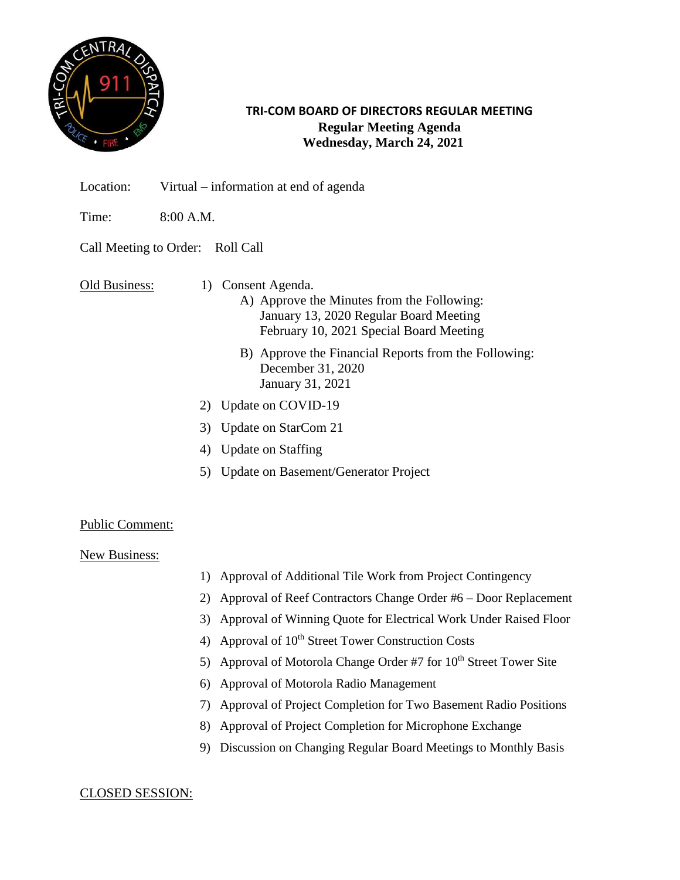

### **TRI-COM BOARD OF DIRECTORS REGULAR MEETING Regular Meeting Agenda Wednesday, March 24, 2021**

- Location: Virtual information at end of agenda
- Time: 8:00 A.M.

# Call Meeting to Order: Roll Call

Old Business: 1) Consent Agenda.

- A) Approve the Minutes from the Following: January 13, 2020 Regular Board Meeting February 10, 2021 Special Board Meeting
- B) Approve the Financial Reports from the Following: December 31, 2020 January 31, 2021
- 2) Update on COVID-19
- 3) Update on StarCom 21
- 4) Update on Staffing
- 5) Update on Basement/Generator Project

### Public Comment:

### New Business:

- 1) Approval of Additional Tile Work from Project Contingency
- 2) Approval of Reef Contractors Change Order #6 Door Replacement
- 3) Approval of Winning Quote for Electrical Work Under Raised Floor
- 4) Approval of  $10<sup>th</sup>$  Street Tower Construction Costs
- 5) Approval of Motorola Change Order  $#7$  for  $10<sup>th</sup>$  Street Tower Site
- 6) Approval of Motorola Radio Management
- 7) Approval of Project Completion for Two Basement Radio Positions
- 8) Approval of Project Completion for Microphone Exchange
- 9) Discussion on Changing Regular Board Meetings to Monthly Basis

### CLOSED SESSION: